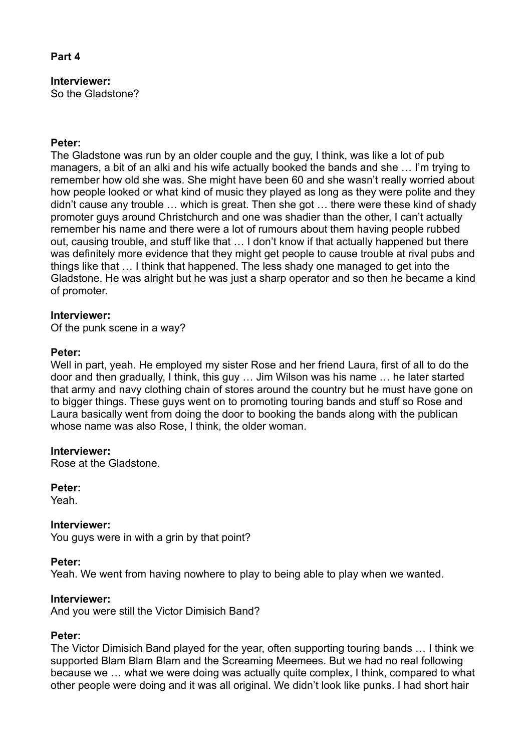## **Part 4**

# **Interviewer:**

So the Gladstone?

## **Peter:**

The Gladstone was run by an older couple and the guy, I think, was like a lot of pub managers, a bit of an alki and his wife actually booked the bands and she … I'm trying to remember how old she was. She might have been 60 and she wasn't really worried about how people looked or what kind of music they played as long as they were polite and they didn't cause any trouble … which is great. Then she got … there were these kind of shady promoter guys around Christchurch and one was shadier than the other, I can't actually remember his name and there were a lot of rumours about them having people rubbed out, causing trouble, and stuff like that … I don't know if that actually happened but there was definitely more evidence that they might get people to cause trouble at rival pubs and things like that … I think that happened. The less shady one managed to get into the Gladstone. He was alright but he was just a sharp operator and so then he became a kind of promoter.

## **Interviewer:**

Of the punk scene in a way?

## **Peter:**

Well in part, yeah. He employed my sister Rose and her friend Laura, first of all to do the door and then gradually, I think, this guy … Jim Wilson was his name … he later started that army and navy clothing chain of stores around the country but he must have gone on to bigger things. These guys went on to promoting touring bands and stuff so Rose and Laura basically went from doing the door to booking the bands along with the publican whose name was also Rose, I think, the older woman.

## **Interviewer:**

Rose at the Gladstone.

**Peter:**

Yeah.

## **Interviewer:**

You guys were in with a grin by that point?

## **Peter:**

Yeah. We went from having nowhere to play to being able to play when we wanted.

## **Interviewer:**

And you were still the Victor Dimisich Band?

## **Peter:**

The Victor Dimisich Band played for the year, often supporting touring bands … I think we supported Blam Blam Blam and the Screaming Meemees. But we had no real following because we … what we were doing was actually quite complex, I think, compared to what other people were doing and it was all original. We didn't look like punks. I had short hair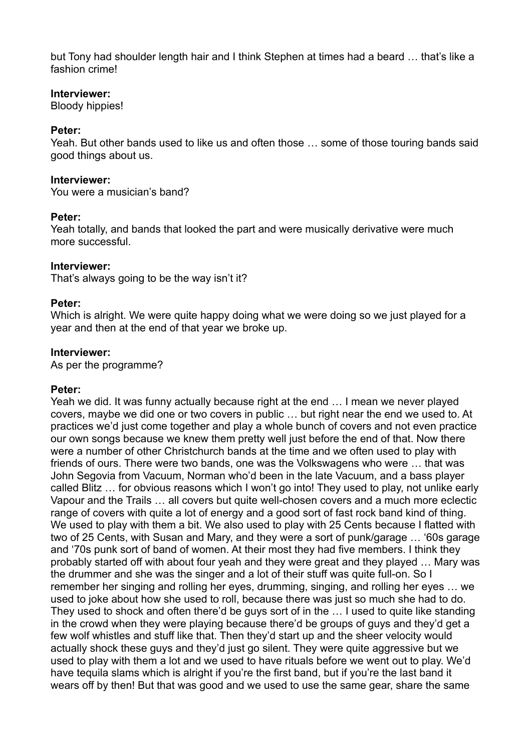but Tony had shoulder length hair and I think Stephen at times had a beard … that's like a fashion crime!

### **Interviewer:**

Bloody hippies!

## **Peter:**

Yeah. But other bands used to like us and often those … some of those touring bands said good things about us.

#### **Interviewer:**

You were a musician's band?

#### **Peter:**

Yeah totally, and bands that looked the part and were musically derivative were much more successful.

## **Interviewer:**

That's always going to be the way isn't it?

#### **Peter:**

Which is alright. We were quite happy doing what we were doing so we just played for a year and then at the end of that year we broke up.

#### **Interviewer:**

As per the programme?

## **Peter:**

Yeah we did. It was funny actually because right at the end … I mean we never played covers, maybe we did one or two covers in public … but right near the end we used to. At practices we'd just come together and play a whole bunch of covers and not even practice our own songs because we knew them pretty well just before the end of that. Now there were a number of other Christchurch bands at the time and we often used to play with friends of ours. There were two bands, one was the Volkswagens who were … that was John Segovia from Vacuum, Norman who'd been in the late Vacuum, and a bass player called Blitz … for obvious reasons which I won't go into! They used to play, not unlike early Vapour and the Trails … all covers but quite well-chosen covers and a much more eclectic range of covers with quite a lot of energy and a good sort of fast rock band kind of thing. We used to play with them a bit. We also used to play with 25 Cents because I flatted with two of 25 Cents, with Susan and Mary, and they were a sort of punk/garage … '60s garage and '70s punk sort of band of women. At their most they had five members. I think they probably started off with about four yeah and they were great and they played … Mary was the drummer and she was the singer and a lot of their stuff was quite full-on. So I remember her singing and rolling her eyes, drumming, singing, and rolling her eyes … we used to joke about how she used to roll, because there was just so much she had to do. They used to shock and often there'd be guys sort of in the … I used to quite like standing in the crowd when they were playing because there'd be groups of guys and they'd get a few wolf whistles and stuff like that. Then they'd start up and the sheer velocity would actually shock these guys and they'd just go silent. They were quite aggressive but we used to play with them a lot and we used to have rituals before we went out to play. We'd have tequila slams which is alright if you're the first band, but if you're the last band it wears off by then! But that was good and we used to use the same gear, share the same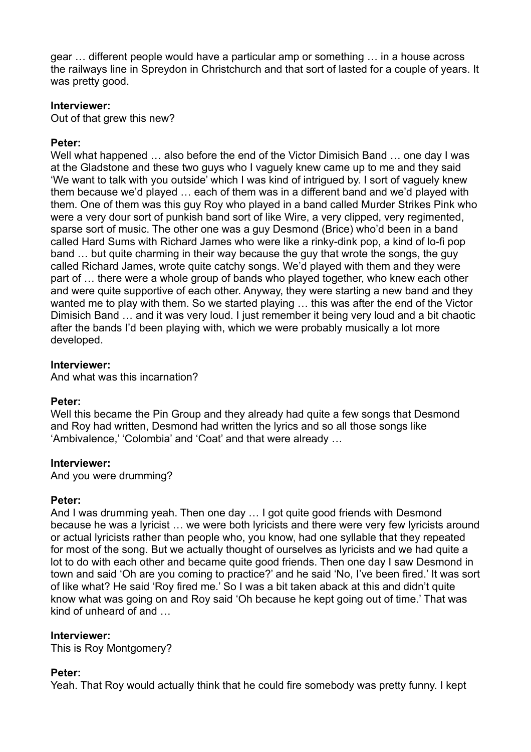gear … different people would have a particular amp or something … in a house across the railways line in Spreydon in Christchurch and that sort of lasted for a couple of years. It was pretty good.

#### **Interviewer:**

Out of that grew this new?

#### **Peter:**

Well what happened ... also before the end of the Victor Dimisich Band ... one day I was at the Gladstone and these two guys who I vaguely knew came up to me and they said 'We want to talk with you outside' which I was kind of intrigued by. I sort of vaguely knew them because we'd played … each of them was in a different band and we'd played with them. One of them was this guy Roy who played in a band called Murder Strikes Pink who were a very dour sort of punkish band sort of like Wire, a very clipped, very regimented, sparse sort of music. The other one was a guy Desmond (Brice) who'd been in a band called Hard Sums with Richard James who were like a rinky-dink pop, a kind of lo-fi pop band … but quite charming in their way because the guy that wrote the songs, the guy called Richard James, wrote quite catchy songs. We'd played with them and they were part of … there were a whole group of bands who played together, who knew each other and were quite supportive of each other. Anyway, they were starting a new band and they wanted me to play with them. So we started playing … this was after the end of the Victor Dimisich Band … and it was very loud. I just remember it being very loud and a bit chaotic after the bands I'd been playing with, which we were probably musically a lot more developed.

#### **Interviewer:**

And what was this incarnation?

## **Peter:**

Well this became the Pin Group and they already had quite a few songs that Desmond and Roy had written, Desmond had written the lyrics and so all those songs like 'Ambivalence,' 'Colombia' and 'Coat' and that were already …

#### **Interviewer:**

And you were drumming?

## **Peter:**

And I was drumming yeah. Then one day … I got quite good friends with Desmond because he was a lyricist … we were both lyricists and there were very few lyricists around or actual lyricists rather than people who, you know, had one syllable that they repeated for most of the song. But we actually thought of ourselves as lyricists and we had quite a lot to do with each other and became quite good friends. Then one day I saw Desmond in town and said 'Oh are you coming to practice?' and he said 'No, I've been fired.' It was sort of like what? He said 'Roy fired me.' So I was a bit taken aback at this and didn't quite know what was going on and Roy said 'Oh because he kept going out of time.' That was kind of unheard of and …

#### **Interviewer:**

This is Roy Montgomery?

## **Peter:**

Yeah. That Roy would actually think that he could fire somebody was pretty funny. I kept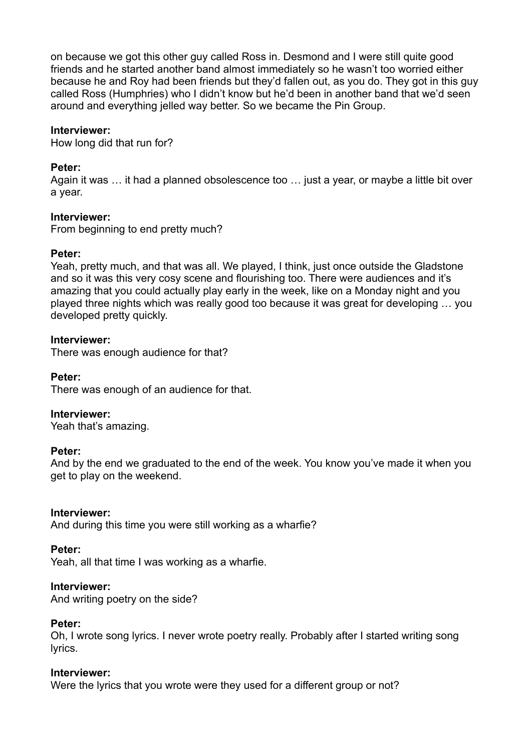on because we got this other guy called Ross in. Desmond and I were still quite good friends and he started another band almost immediately so he wasn't too worried either because he and Roy had been friends but they'd fallen out, as you do. They got in this guy called Ross (Humphries) who I didn't know but he'd been in another band that we'd seen around and everything jelled way better. So we became the Pin Group.

## **Interviewer:**

How long did that run for?

#### **Peter:**

Again it was … it had a planned obsolescence too … just a year, or maybe a little bit over a year.

#### **Interviewer:**

From beginning to end pretty much?

#### **Peter:**

Yeah, pretty much, and that was all. We played, I think, just once outside the Gladstone and so it was this very cosy scene and flourishing too. There were audiences and it's amazing that you could actually play early in the week, like on a Monday night and you played three nights which was really good too because it was great for developing … you developed pretty quickly.

#### **Interviewer:**

There was enough audience for that?

## **Peter:**

There was enough of an audience for that.

## **Interviewer:**

Yeah that's amazing.

## **Peter:**

And by the end we graduated to the end of the week. You know you've made it when you get to play on the weekend.

#### **Interviewer:**

And during this time you were still working as a wharfie?

#### **Peter:**

Yeah, all that time I was working as a wharfie.

#### **Interviewer:**

And writing poetry on the side?

#### **Peter:**

Oh, I wrote song lyrics. I never wrote poetry really. Probably after I started writing song lyrics.

## **Interviewer:**

Were the lyrics that you wrote were they used for a different group or not?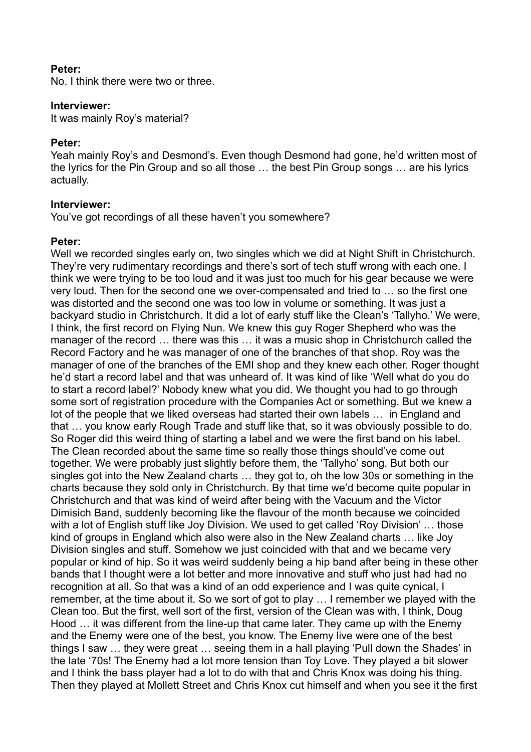#### **Peter:**

No. I think there were two or three.

#### **Interviewer:**

It was mainly Roy's material?

#### **Peter:**

Yeah mainly Roy's and Desmond's. Even though Desmond had gone, he'd written most of the lyrics for the Pin Group and so all those … the best Pin Group songs … are his lyrics actually.

#### **Interviewer:**

You've got recordings of all these haven't you somewhere?

#### **Peter:**

Well we recorded singles early on, two singles which we did at Night Shift in Christchurch. They're very rudimentary recordings and there's sort of tech stuff wrong with each one. I think we were trying to be too loud and it was just too much for his gear because we were very loud. Then for the second one we over-compensated and tried to … so the first one was distorted and the second one was too low in volume or something. It was just a backyard studio in Christchurch. It did a lot of early stuff like the Clean's 'Tallyho.' We were, I think, the first record on Flying Nun. We knew this guy Roger Shepherd who was the manager of the record … there was this … it was a music shop in Christchurch called the Record Factory and he was manager of one of the branches of that shop. Roy was the manager of one of the branches of the EMI shop and they knew each other. Roger thought he'd start a record label and that was unheard of. It was kind of like 'Well what do you do to start a record label?' Nobody knew what you did. We thought you had to go through some sort of registration procedure with the Companies Act or something. But we knew a lot of the people that we liked overseas had started their own labels … in England and that … you know early Rough Trade and stuff like that, so it was obviously possible to do. So Roger did this weird thing of starting a label and we were the first band on his label. The Clean recorded about the same time so really those things should've come out together. We were probably just slightly before them, the 'Tallyho' song. But both our singles got into the New Zealand charts … they got to, oh the low 30s or something in the charts because they sold only in Christchurch. By that time we'd become quite popular in Christchurch and that was kind of weird after being with the Vacuum and the Victor Dimisich Band, suddenly becoming like the flavour of the month because we coincided with a lot of English stuff like Joy Division. We used to get called 'Roy Division' … those kind of groups in England which also were also in the New Zealand charts … like Joy Division singles and stuff. Somehow we just coincided with that and we became very popular or kind of hip. So it was weird suddenly being a hip band after being in these other bands that I thought were a lot better and more innovative and stuff who just had had no recognition at all. So that was a kind of an odd experience and I was quite cynical, I remember, at the time about it. So we sort of got to play … I remember we played with the Clean too. But the first, well sort of the first, version of the Clean was with, I think, Doug Hood … it was different from the line-up that came later. They came up with the Enemy and the Enemy were one of the best, you know. The Enemy live were one of the best things I saw … they were great … seeing them in a hall playing 'Pull down the Shades' in the late '70s! The Enemy had a lot more tension than Toy Love. They played a bit slower and I think the bass player had a lot to do with that and Chris Knox was doing his thing. Then they played at Mollett Street and Chris Knox cut himself and when you see it the first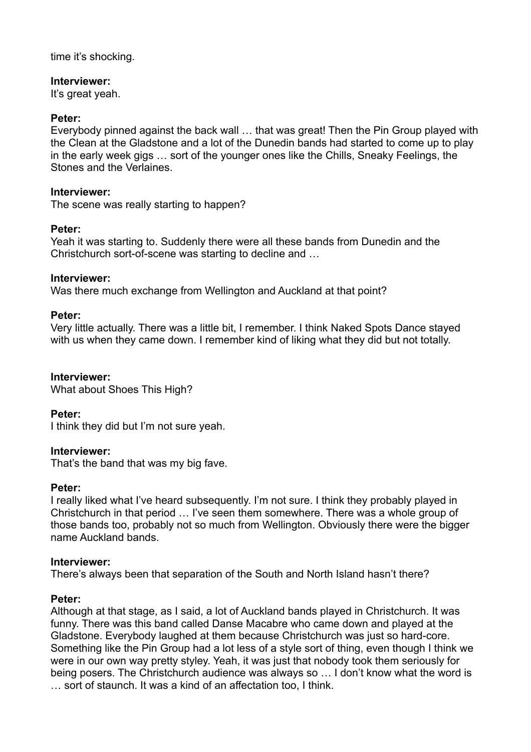time it's shocking.

### **Interviewer:**

It's great yeah.

## **Peter:**

Everybody pinned against the back wall … that was great! Then the Pin Group played with the Clean at the Gladstone and a lot of the Dunedin bands had started to come up to play in the early week gigs … sort of the younger ones like the Chills, Sneaky Feelings, the Stones and the Verlaines.

### **Interviewer:**

The scene was really starting to happen?

## **Peter:**

Yeah it was starting to. Suddenly there were all these bands from Dunedin and the Christchurch sort-of-scene was starting to decline and …

#### **Interviewer:**

Was there much exchange from Wellington and Auckland at that point?

#### **Peter:**

Very little actually. There was a little bit, I remember. I think Naked Spots Dance stayed with us when they came down. I remember kind of liking what they did but not totally.

### **Interviewer:**

What about Shoes This High?

## **Peter:**

I think they did but I'm not sure yeah.

#### **Interviewer:**

That's the band that was my big fave.

#### **Peter:**

I really liked what I've heard subsequently. I'm not sure. I think they probably played in Christchurch in that period … I've seen them somewhere. There was a whole group of those bands too, probably not so much from Wellington. Obviously there were the bigger name Auckland bands.

## **Interviewer:**

There's always been that separation of the South and North Island hasn't there?

## **Peter:**

Although at that stage, as I said, a lot of Auckland bands played in Christchurch. It was funny. There was this band called Danse Macabre who came down and played at the Gladstone. Everybody laughed at them because Christchurch was just so hard-core. Something like the Pin Group had a lot less of a style sort of thing, even though I think we were in our own way pretty styley. Yeah, it was just that nobody took them seriously for being posers. The Christchurch audience was always so … I don't know what the word is … sort of staunch. It was a kind of an affectation too, I think.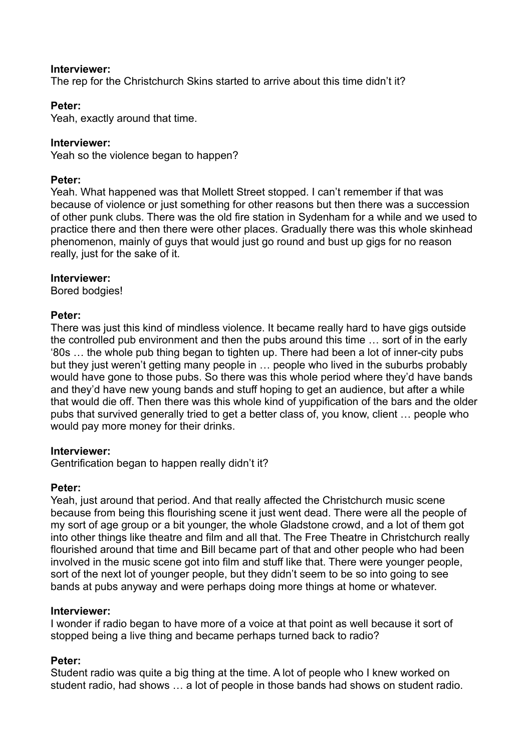### **Interviewer:**

The rep for the Christchurch Skins started to arrive about this time didn't it?

### **Peter:**

Yeah, exactly around that time.

### **Interviewer:**

Yeah so the violence began to happen?

### **Peter:**

Yeah. What happened was that Mollett Street stopped. I can't remember if that was because of violence or just something for other reasons but then there was a succession of other punk clubs. There was the old fire station in Sydenham for a while and we used to practice there and then there were other places. Gradually there was this whole skinhead phenomenon, mainly of guys that would just go round and bust up gigs for no reason really, just for the sake of it.

#### **Interviewer:**

Bored bodgies!

#### **Peter:**

There was just this kind of mindless violence. It became really hard to have gigs outside the controlled pub environment and then the pubs around this time … sort of in the early '80s … the whole pub thing began to tighten up. There had been a lot of inner-city pubs but they just weren't getting many people in … people who lived in the suburbs probably would have gone to those pubs. So there was this whole period where they'd have bands and they'd have new young bands and stuff hoping to get an audience, but after a while that would die off. Then there was this whole kind of yuppification of the bars and the older pubs that survived generally tried to get a better class of, you know, client … people who would pay more money for their drinks.

#### **Interviewer:**

Gentrification began to happen really didn't it?

#### **Peter:**

Yeah, just around that period. And that really affected the Christchurch music scene because from being this flourishing scene it just went dead. There were all the people of my sort of age group or a bit younger, the whole Gladstone crowd, and a lot of them got into other things like theatre and film and all that. The Free Theatre in Christchurch really flourished around that time and Bill became part of that and other people who had been involved in the music scene got into film and stuff like that. There were younger people, sort of the next lot of younger people, but they didn't seem to be so into going to see bands at pubs anyway and were perhaps doing more things at home or whatever.

## **Interviewer:**

I wonder if radio began to have more of a voice at that point as well because it sort of stopped being a live thing and became perhaps turned back to radio?

## **Peter:**

Student radio was quite a big thing at the time. A lot of people who I knew worked on student radio, had shows … a lot of people in those bands had shows on student radio.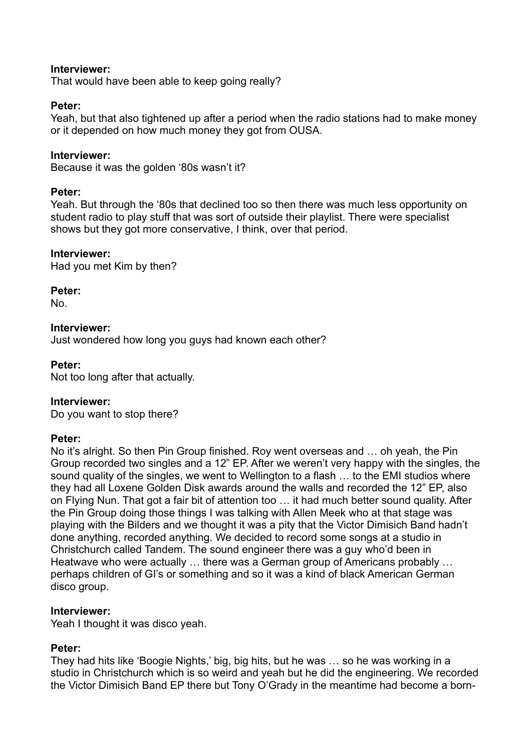## **Interviewer:**

That would have been able to keep going really?

## **Peter:**

Yeah, but that also tightened up after a period when the radio stations had to make money or it depended on how much money they got from OUSA.

## **Interviewer:**

Because it was the golden '80s wasn't it?

## **Peter:**

Yeah. But through the '80s that declined too so then there was much less opportunity on student radio to play stuff that was sort of outside their playlist. There were specialist shows but they got more conservative, I think, over that period.

## **Interviewer:**

Had you met Kim by then?

**Peter:**

No.

## **Interviewer:**

Just wondered how long you guys had known each other?

## **Peter:**

Not too long after that actually.

## **Interviewer:**

Do you want to stop there?

## **Peter:**

No it's alright. So then Pin Group finished. Roy went overseas and … oh yeah, the Pin Group recorded two singles and a 12" EP. After we weren't very happy with the singles, the sound quality of the singles, we went to Wellington to a flash … to the EMI studios where they had all Loxene Golden Disk awards around the walls and recorded the 12" EP, also on Flying Nun. That got a fair bit of attention too … it had much better sound quality. After the Pin Group doing those things I was talking with Allen Meek who at that stage was playing with the Bilders and we thought it was a pity that the Victor Dimisich Band hadn't done anything, recorded anything. We decided to record some songs at a studio in Christchurch called Tandem. The sound engineer there was a guy who'd been in Heatwave who were actually … there was a German group of Americans probably … perhaps children of GI's or something and so it was a kind of black American German disco group.

## **Interviewer:**

Yeah I thought it was disco yeah.

## **Peter:**

They had hits like 'Boogie Nights,' big, big hits, but he was … so he was working in a studio in Christchurch which is so weird and yeah but he did the engineering. We recorded the Victor Dimisich Band EP there but Tony O'Grady in the meantime had become a born-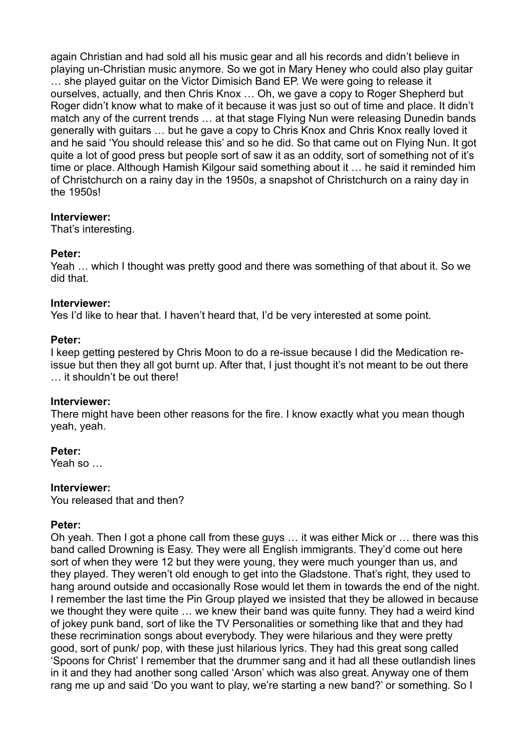again Christian and had sold all his music gear and all his records and didn't believe in playing un-Christian music anymore. So we got in Mary Heney who could also play guitar … she played guitar on the Victor Dimisich Band EP. We were going to release it ourselves, actually, and then Chris Knox … Oh, we gave a copy to Roger Shepherd but Roger didn't know what to make of it because it was just so out of time and place. It didn't match any of the current trends … at that stage Flying Nun were releasing Dunedin bands generally with guitars … but he gave a copy to Chris Knox and Chris Knox really loved it and he said 'You should release this' and so he did. So that came out on Flying Nun. It got quite a lot of good press but people sort of saw it as an oddity, sort of something not of it's time or place. Although Hamish Kilgour said something about it … he said it reminded him of Christchurch on a rainy day in the 1950s, a snapshot of Christchurch on a rainy day in the 1950s!

#### **Interviewer:**

That's interesting.

## **Peter:**

Yeah … which I thought was pretty good and there was something of that about it. So we did that.

#### **Interviewer:**

Yes I'd like to hear that. I haven't heard that, I'd be very interested at some point.

#### **Peter:**

I keep getting pestered by Chris Moon to do a re-issue because I did the Medication reissue but then they all got burnt up. After that, I just thought it's not meant to be out there … it shouldn't be out there!

## **Interviewer:**

There might have been other reasons for the fire. I know exactly what you mean though yeah, yeah.

## **Peter:**

Yeah so …

#### **Interviewer:**

You released that and then?

#### **Peter:**

Oh yeah. Then I got a phone call from these guys … it was either Mick or … there was this band called Drowning is Easy. They were all English immigrants. They'd come out here sort of when they were 12 but they were young, they were much younger than us, and they played. They weren't old enough to get into the Gladstone. That's right, they used to hang around outside and occasionally Rose would let them in towards the end of the night. I remember the last time the Pin Group played we insisted that they be allowed in because we thought they were quite … we knew their band was quite funny. They had a weird kind of jokey punk band, sort of like the TV Personalities or something like that and they had these recrimination songs about everybody. They were hilarious and they were pretty good, sort of punk/ pop, with these just hilarious lyrics. They had this great song called 'Spoons for Christ' I remember that the drummer sang and it had all these outlandish lines in it and they had another song called 'Arson' which was also great. Anyway one of them rang me up and said 'Do you want to play, we're starting a new band?' or something. So I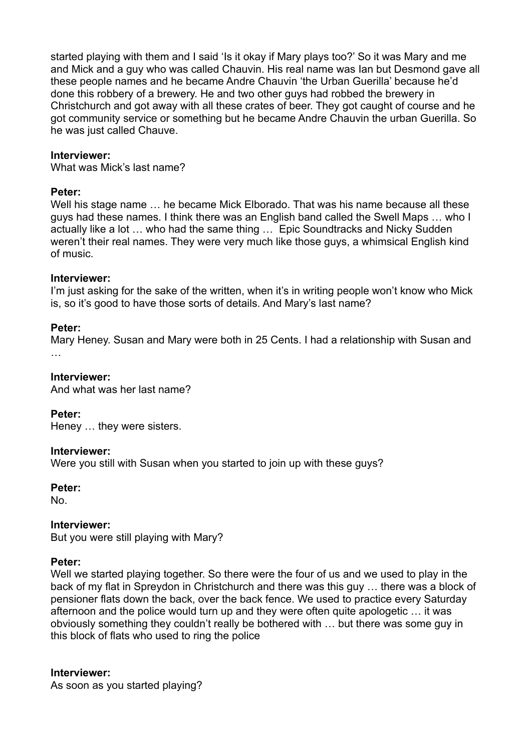started playing with them and I said 'Is it okay if Mary plays too?' So it was Mary and me and Mick and a guy who was called Chauvin. His real name was Ian but Desmond gave all these people names and he became Andre Chauvin 'the Urban Guerilla' because he'd done this robbery of a brewery. He and two other guys had robbed the brewery in Christchurch and got away with all these crates of beer. They got caught of course and he got community service or something but he became Andre Chauvin the urban Guerilla. So he was just called Chauve.

### **Interviewer:**

What was Mick's last name?

#### **Peter:**

Well his stage name … he became Mick Elborado. That was his name because all these guys had these names. I think there was an English band called the Swell Maps … who I actually like a lot … who had the same thing … Epic Soundtracks and Nicky Sudden weren't their real names. They were very much like those guys, a whimsical English kind of music.

#### **Interviewer:**

I'm just asking for the sake of the written, when it's in writing people won't know who Mick is, so it's good to have those sorts of details. And Mary's last name?

#### **Peter:**

Mary Heney. Susan and Mary were both in 25 Cents. I had a relationship with Susan and …

### **Interviewer:**

And what was her last name?

## **Peter:**

Heney … they were sisters.

#### **Interviewer:**

Were you still with Susan when you started to join up with these guys?

#### **Peter:**

No.

## **Interviewer:**

But you were still playing with Mary?

## **Peter:**

Well we started playing together. So there were the four of us and we used to play in the back of my flat in Spreydon in Christchurch and there was this guy … there was a block of pensioner flats down the back, over the back fence. We used to practice every Saturday afternoon and the police would turn up and they were often quite apologetic … it was obviously something they couldn't really be bothered with … but there was some guy in this block of flats who used to ring the police

## **Interviewer:**

As soon as you started playing?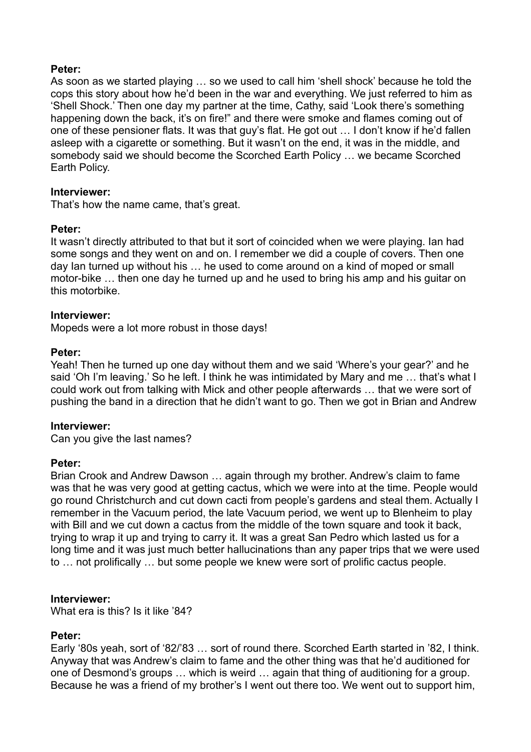## **Peter:**

As soon as we started playing … so we used to call him 'shell shock' because he told the cops this story about how he'd been in the war and everything. We just referred to him as 'Shell Shock.' Then one day my partner at the time, Cathy, said 'Look there's something happening down the back, it's on fire!" and there were smoke and flames coming out of one of these pensioner flats. It was that guy's flat. He got out … I don't know if he'd fallen asleep with a cigarette or something. But it wasn't on the end, it was in the middle, and somebody said we should become the Scorched Earth Policy … we became Scorched Earth Policy.

#### **Interviewer:**

That's how the name came, that's great.

#### **Peter:**

It wasn't directly attributed to that but it sort of coincided when we were playing. Ian had some songs and they went on and on. I remember we did a couple of covers. Then one day Ian turned up without his … he used to come around on a kind of moped or small motor-bike … then one day he turned up and he used to bring his amp and his guitar on this motorbike.

#### **Interviewer:**

Mopeds were a lot more robust in those days!

#### **Peter:**

Yeah! Then he turned up one day without them and we said 'Where's your gear?' and he said 'Oh I'm leaving.' So he left. I think he was intimidated by Mary and me... that's what I could work out from talking with Mick and other people afterwards … that we were sort of pushing the band in a direction that he didn't want to go. Then we got in Brian and Andrew

## **Interviewer:**

Can you give the last names?

#### **Peter:**

Brian Crook and Andrew Dawson … again through my brother. Andrew's claim to fame was that he was very good at getting cactus, which we were into at the time. People would go round Christchurch and cut down cacti from people's gardens and steal them. Actually I remember in the Vacuum period, the late Vacuum period, we went up to Blenheim to play with Bill and we cut down a cactus from the middle of the town square and took it back, trying to wrap it up and trying to carry it. It was a great San Pedro which lasted us for a long time and it was just much better hallucinations than any paper trips that we were used to … not prolifically … but some people we knew were sort of prolific cactus people.

#### **Interviewer:**

What era is this? Is it like '84?

## **Peter:**

Early '80s yeah, sort of '82/'83 … sort of round there. Scorched Earth started in '82, I think. Anyway that was Andrew's claim to fame and the other thing was that he'd auditioned for one of Desmond's groups … which is weird … again that thing of auditioning for a group. Because he was a friend of my brother's I went out there too. We went out to support him,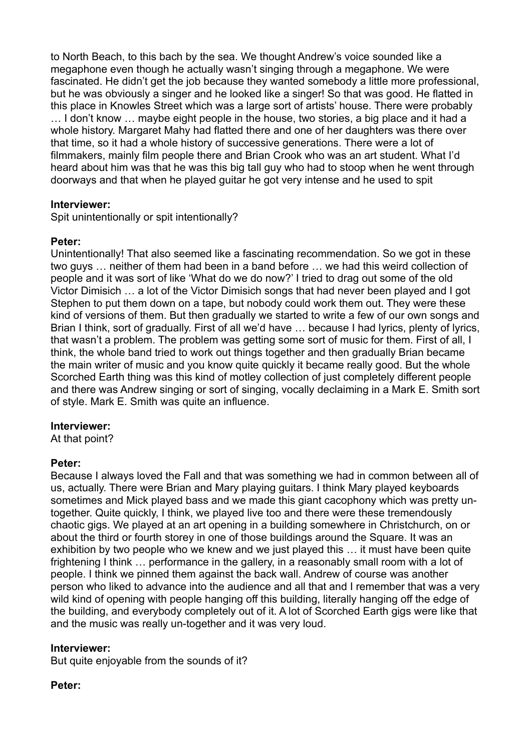to North Beach, to this bach by the sea. We thought Andrew's voice sounded like a megaphone even though he actually wasn't singing through a megaphone. We were fascinated. He didn't get the job because they wanted somebody a little more professional, but he was obviously a singer and he looked like a singer! So that was good. He flatted in this place in Knowles Street which was a large sort of artists' house. There were probably … I don't know … maybe eight people in the house, two stories, a big place and it had a whole history. Margaret Mahy had flatted there and one of her daughters was there over that time, so it had a whole history of successive generations. There were a lot of filmmakers, mainly film people there and Brian Crook who was an art student. What I'd heard about him was that he was this big tall guy who had to stoop when he went through doorways and that when he played guitar he got very intense and he used to spit

## **Interviewer:**

Spit unintentionally or spit intentionally?

## **Peter:**

Unintentionally! That also seemed like a fascinating recommendation. So we got in these two guys … neither of them had been in a band before … we had this weird collection of people and it was sort of like 'What do we do now?' I tried to drag out some of the old Victor Dimisich … a lot of the Victor Dimisich songs that had never been played and I got Stephen to put them down on a tape, but nobody could work them out. They were these kind of versions of them. But then gradually we started to write a few of our own songs and Brian I think, sort of gradually. First of all we'd have ... because I had lyrics, plenty of lyrics, that wasn't a problem. The problem was getting some sort of music for them. First of all, I think, the whole band tried to work out things together and then gradually Brian became the main writer of music and you know quite quickly it became really good. But the whole Scorched Earth thing was this kind of motley collection of just completely different people and there was Andrew singing or sort of singing, vocally declaiming in a Mark E. Smith sort of style. Mark E. Smith was quite an influence.

## **Interviewer:**

At that point?

## **Peter:**

Because I always loved the Fall and that was something we had in common between all of us, actually. There were Brian and Mary playing guitars. I think Mary played keyboards sometimes and Mick played bass and we made this giant cacophony which was pretty untogether. Quite quickly, I think, we played live too and there were these tremendously chaotic gigs. We played at an art opening in a building somewhere in Christchurch, on or about the third or fourth storey in one of those buildings around the Square. It was an exhibition by two people who we knew and we just played this … it must have been quite frightening I think … performance in the gallery, in a reasonably small room with a lot of people. I think we pinned them against the back wall. Andrew of course was another person who liked to advance into the audience and all that and I remember that was a very wild kind of opening with people hanging off this building, literally hanging off the edge of the building, and everybody completely out of it. A lot of Scorched Earth gigs were like that and the music was really un-together and it was very loud.

## **Interviewer:**

But quite enjoyable from the sounds of it?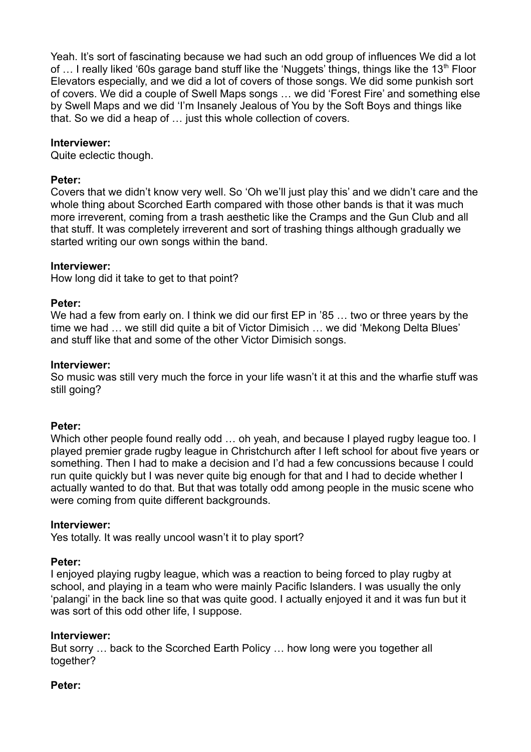Yeah. It's sort of fascinating because we had such an odd group of influences We did a lot of ... I really liked '60s garage band stuff like the 'Nuggets' things, things like the 13<sup>th</sup> Floor Elevators especially, and we did a lot of covers of those songs. We did some punkish sort of covers. We did a couple of Swell Maps songs … we did 'Forest Fire' and something else by Swell Maps and we did 'I'm Insanely Jealous of You by the Soft Boys and things like that. So we did a heap of … just this whole collection of covers.

## **Interviewer:**

Quite eclectic though.

### **Peter:**

Covers that we didn't know very well. So 'Oh we'll just play this' and we didn't care and the whole thing about Scorched Earth compared with those other bands is that it was much more irreverent, coming from a trash aesthetic like the Cramps and the Gun Club and all that stuff. It was completely irreverent and sort of trashing things although gradually we started writing our own songs within the band.

## **Interviewer:**

How long did it take to get to that point?

#### **Peter:**

We had a few from early on. I think we did our first EP in '85 ... two or three years by the time we had … we still did quite a bit of Victor Dimisich … we did 'Mekong Delta Blues' and stuff like that and some of the other Victor Dimisich songs.

#### **Interviewer:**

So music was still very much the force in your life wasn't it at this and the wharfie stuff was still going?

## **Peter:**

Which other people found really odd ... oh yeah, and because I played rugby league too. I played premier grade rugby league in Christchurch after I left school for about five years or something. Then I had to make a decision and I'd had a few concussions because I could run quite quickly but I was never quite big enough for that and I had to decide whether I actually wanted to do that. But that was totally odd among people in the music scene who were coming from quite different backgrounds.

#### **Interviewer:**

Yes totally. It was really uncool wasn't it to play sport?

## **Peter:**

I enjoyed playing rugby league, which was a reaction to being forced to play rugby at school, and playing in a team who were mainly Pacific Islanders. I was usually the only 'palangi' in the back line so that was quite good. I actually enjoyed it and it was fun but it was sort of this odd other life, I suppose.

## **Interviewer:**

But sorry … back to the Scorched Earth Policy … how long were you together all together?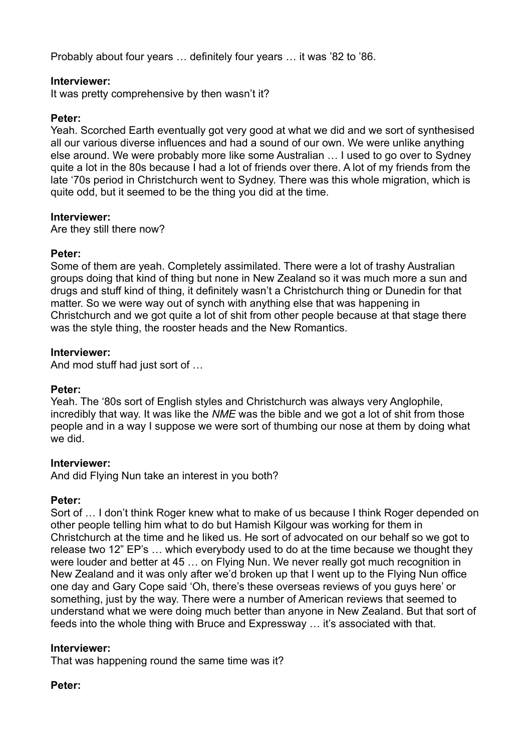Probably about four years … definitely four years … it was '82 to '86.

## **Interviewer:**

It was pretty comprehensive by then wasn't it?

## **Peter:**

Yeah. Scorched Earth eventually got very good at what we did and we sort of synthesised all our various diverse influences and had a sound of our own. We were unlike anything else around. We were probably more like some Australian … I used to go over to Sydney quite a lot in the 80s because I had a lot of friends over there. A lot of my friends from the late '70s period in Christchurch went to Sydney. There was this whole migration, which is quite odd, but it seemed to be the thing you did at the time.

## **Interviewer:**

Are they still there now?

## **Peter:**

Some of them are yeah. Completely assimilated. There were a lot of trashy Australian groups doing that kind of thing but none in New Zealand so it was much more a sun and drugs and stuff kind of thing, it definitely wasn't a Christchurch thing or Dunedin for that matter. So we were way out of synch with anything else that was happening in Christchurch and we got quite a lot of shit from other people because at that stage there was the style thing, the rooster heads and the New Romantics.

## **Interviewer:**

And mod stuff had just sort of …

## **Peter:**

Yeah. The '80s sort of English styles and Christchurch was always very Anglophile, incredibly that way. It was like the *NME* was the bible and we got a lot of shit from those people and in a way I suppose we were sort of thumbing our nose at them by doing what we did.

## **Interviewer:**

And did Flying Nun take an interest in you both?

## **Peter:**

Sort of … I don't think Roger knew what to make of us because I think Roger depended on other people telling him what to do but Hamish Kilgour was working for them in Christchurch at the time and he liked us. He sort of advocated on our behalf so we got to release two 12" EP's … which everybody used to do at the time because we thought they were louder and better at 45 … on Flying Nun. We never really got much recognition in New Zealand and it was only after we'd broken up that I went up to the Flying Nun office one day and Gary Cope said 'Oh, there's these overseas reviews of you guys here' or something, just by the way. There were a number of American reviews that seemed to understand what we were doing much better than anyone in New Zealand. But that sort of feeds into the whole thing with Bruce and Expressway … it's associated with that.

## **Interviewer:**

That was happening round the same time was it?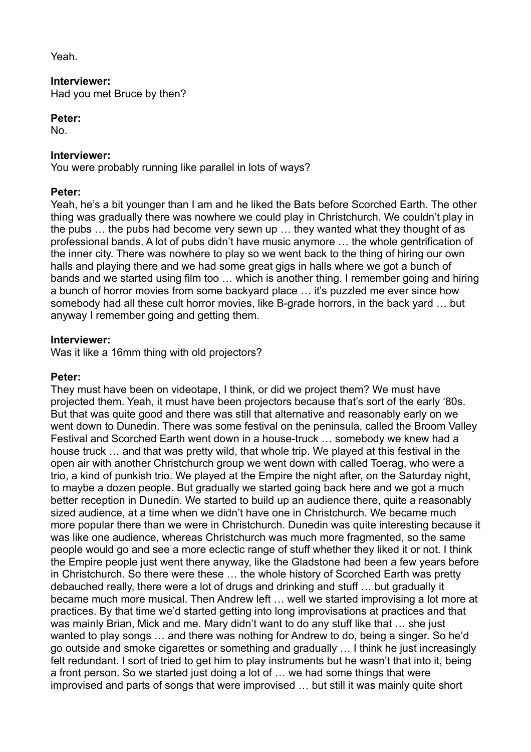Yeah.

# **Interviewer:**

Had you met Bruce by then?

## **Peter:**

No.

## **Interviewer:**

You were probably running like parallel in lots of ways?

## **Peter:**

Yeah, he's a bit younger than I am and he liked the Bats before Scorched Earth. The other thing was gradually there was nowhere we could play in Christchurch. We couldn't play in the pubs … the pubs had become very sewn up … they wanted what they thought of as professional bands. A lot of pubs didn't have music anymore … the whole gentrification of the inner city. There was nowhere to play so we went back to the thing of hiring our own halls and playing there and we had some great gigs in halls where we got a bunch of bands and we started using film too … which is another thing. I remember going and hiring a bunch of horror movies from some backyard place … it's puzzled me ever since how somebody had all these cult horror movies, like B-grade horrors, in the back yard … but anyway I remember going and getting them.

## **Interviewer:**

Was it like a 16mm thing with old projectors?

## **Peter:**

They must have been on videotape, I think, or did we project them? We must have projected them. Yeah, it must have been projectors because that's sort of the early '80s. But that was quite good and there was still that alternative and reasonably early on we went down to Dunedin. There was some festival on the peninsula, called the Broom Valley Festival and Scorched Earth went down in a house-truck … somebody we knew had a house truck … and that was pretty wild, that whole trip. We played at this festival in the open air with another Christchurch group we went down with called Toerag, who were a trio, a kind of punkish trio. We played at the Empire the night after, on the Saturday night, to maybe a dozen people. But gradually we started going back here and we got a much better reception in Dunedin. We started to build up an audience there, quite a reasonably sized audience, at a time when we didn't have one in Christchurch. We became much more popular there than we were in Christchurch. Dunedin was quite interesting because it was like one audience, whereas Christchurch was much more fragmented, so the same people would go and see a more eclectic range of stuff whether they liked it or not. I think the Empire people just went there anyway, like the Gladstone had been a few years before in Christchurch. So there were these … the whole history of Scorched Earth was pretty debauched really, there were a lot of drugs and drinking and stuff … but gradually it became much more musical. Then Andrew left … well we started improvising a lot more at practices. By that time we'd started getting into long improvisations at practices and that was mainly Brian, Mick and me. Mary didn't want to do any stuff like that … she just wanted to play songs … and there was nothing for Andrew to do, being a singer. So he'd go outside and smoke cigarettes or something and gradually … I think he just increasingly felt redundant. I sort of tried to get him to play instruments but he wasn't that into it, being a front person. So we started just doing a lot of … we had some things that were improvised and parts of songs that were improvised … but still it was mainly quite short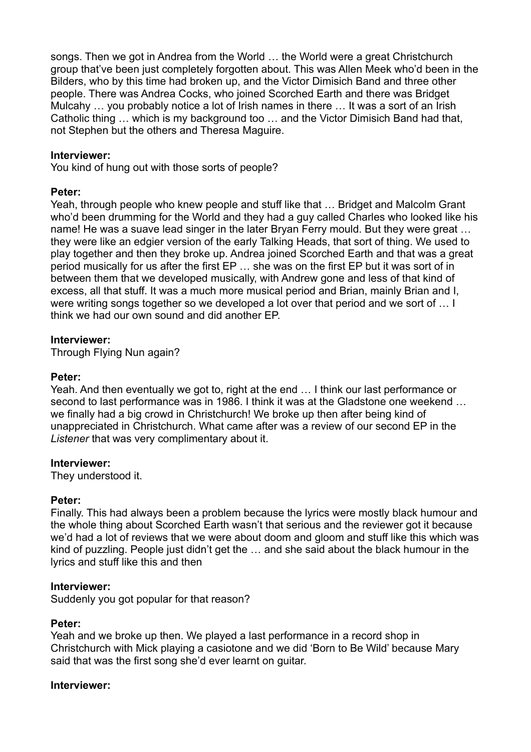songs. Then we got in Andrea from the World … the World were a great Christchurch group that've been just completely forgotten about. This was Allen Meek who'd been in the Bilders, who by this time had broken up, and the Victor Dimisich Band and three other people. There was Andrea Cocks, who joined Scorched Earth and there was Bridget Mulcahy … you probably notice a lot of Irish names in there … It was a sort of an Irish Catholic thing … which is my background too … and the Victor Dimisich Band had that, not Stephen but the others and Theresa Maguire.

### **Interviewer:**

You kind of hung out with those sorts of people?

#### **Peter:**

Yeah, through people who knew people and stuff like that … Bridget and Malcolm Grant who'd been drumming for the World and they had a guy called Charles who looked like his name! He was a suave lead singer in the later Bryan Ferry mould. But they were great … they were like an edgier version of the early Talking Heads, that sort of thing. We used to play together and then they broke up. Andrea joined Scorched Earth and that was a great period musically for us after the first EP … she was on the first EP but it was sort of in between them that we developed musically, with Andrew gone and less of that kind of excess, all that stuff. It was a much more musical period and Brian, mainly Brian and I, were writing songs together so we developed a lot over that period and we sort of … I think we had our own sound and did another EP.

#### **Interviewer:**

Through Flying Nun again?

#### **Peter:**

Yeah. And then eventually we got to, right at the end … I think our last performance or second to last performance was in 1986. I think it was at the Gladstone one weekend … we finally had a big crowd in Christchurch! We broke up then after being kind of unappreciated in Christchurch. What came after was a review of our second EP in the *Listener* that was very complimentary about it.

#### **Interviewer:**

They understood it.

## **Peter:**

Finally. This had always been a problem because the lyrics were mostly black humour and the whole thing about Scorched Earth wasn't that serious and the reviewer got it because we'd had a lot of reviews that we were about doom and gloom and stuff like this which was kind of puzzling. People just didn't get the … and she said about the black humour in the lyrics and stuff like this and then

#### **Interviewer:**

Suddenly you got popular for that reason?

#### **Peter:**

Yeah and we broke up then. We played a last performance in a record shop in Christchurch with Mick playing a casiotone and we did 'Born to Be Wild' because Mary said that was the first song she'd ever learnt on guitar.

#### **Interviewer:**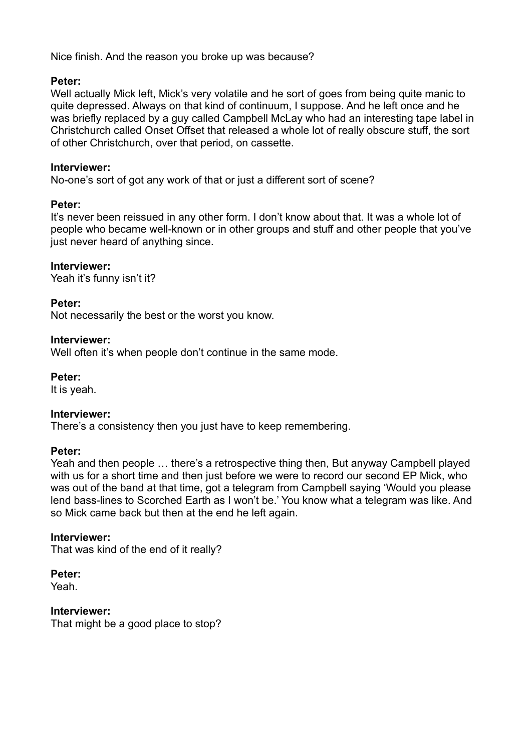Nice finish. And the reason you broke up was because?

## **Peter:**

Well actually Mick left. Mick's very volatile and he sort of goes from being quite manic to quite depressed. Always on that kind of continuum, I suppose. And he left once and he was briefly replaced by a guy called Campbell McLay who had an interesting tape label in Christchurch called Onset Offset that released a whole lot of really obscure stuff, the sort of other Christchurch, over that period, on cassette.

## **Interviewer:**

No-one's sort of got any work of that or just a different sort of scene?

## **Peter:**

It's never been reissued in any other form. I don't know about that. It was a whole lot of people who became well-known or in other groups and stuff and other people that you've just never heard of anything since.

## **Interviewer:**

Yeah it's funny isn't it?

## **Peter:**

Not necessarily the best or the worst you know.

## **Interviewer:**

Well often it's when people don't continue in the same mode.

**Peter:**

It is yeah.

## **Interviewer:**

There's a consistency then you just have to keep remembering.

## **Peter:**

Yeah and then people … there's a retrospective thing then, But anyway Campbell played with us for a short time and then just before we were to record our second EP Mick, who was out of the band at that time, got a telegram from Campbell saying 'Would you please lend bass-lines to Scorched Earth as I won't be.' You know what a telegram was like. And so Mick came back but then at the end he left again.

## **Interviewer:**

That was kind of the end of it really?

**Peter:**

Yeah.

**Interviewer:** That might be a good place to stop?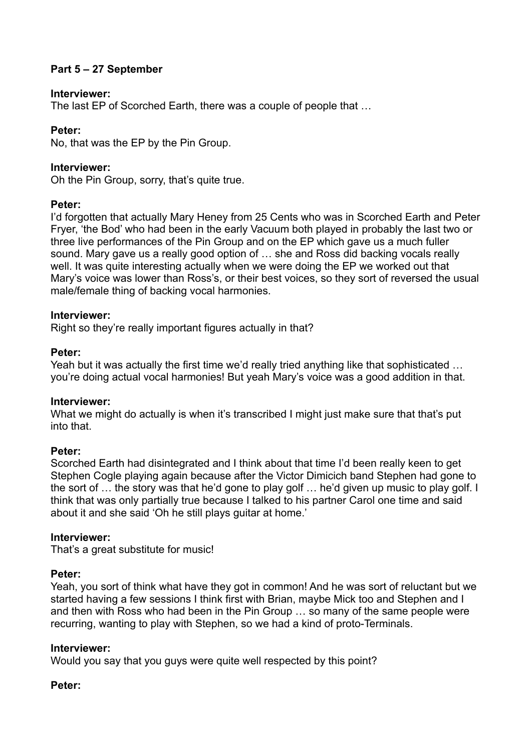## **Part 5 – 27 September**

### **Interviewer:**

The last EP of Scorched Earth, there was a couple of people that …

## **Peter:**

No, that was the EP by the Pin Group.

### **Interviewer:**

Oh the Pin Group, sorry, that's quite true.

#### **Peter:**

I'd forgotten that actually Mary Heney from 25 Cents who was in Scorched Earth and Peter Fryer, 'the Bod' who had been in the early Vacuum both played in probably the last two or three live performances of the Pin Group and on the EP which gave us a much fuller sound. Mary gave us a really good option of … she and Ross did backing vocals really well. It was quite interesting actually when we were doing the EP we worked out that Mary's voice was lower than Ross's, or their best voices, so they sort of reversed the usual male/female thing of backing vocal harmonies.

#### **Interviewer:**

Right so they're really important figures actually in that?

#### **Peter:**

Yeah but it was actually the first time we'd really tried anything like that sophisticated … you're doing actual vocal harmonies! But yeah Mary's voice was a good addition in that.

## **Interviewer:**

What we might do actually is when it's transcribed I might just make sure that that's put into that.

## **Peter:**

Scorched Earth had disintegrated and I think about that time I'd been really keen to get Stephen Cogle playing again because after the Victor Dimicich band Stephen had gone to the sort of … the story was that he'd gone to play golf … he'd given up music to play golf. I think that was only partially true because I talked to his partner Carol one time and said about it and she said 'Oh he still plays guitar at home.'

#### **Interviewer:**

That's a great substitute for music!

## **Peter:**

Yeah, you sort of think what have they got in common! And he was sort of reluctant but we started having a few sessions I think first with Brian, maybe Mick too and Stephen and I and then with Ross who had been in the Pin Group … so many of the same people were recurring, wanting to play with Stephen, so we had a kind of proto-Terminals.

#### **Interviewer:**

Would you say that you guys were quite well respected by this point?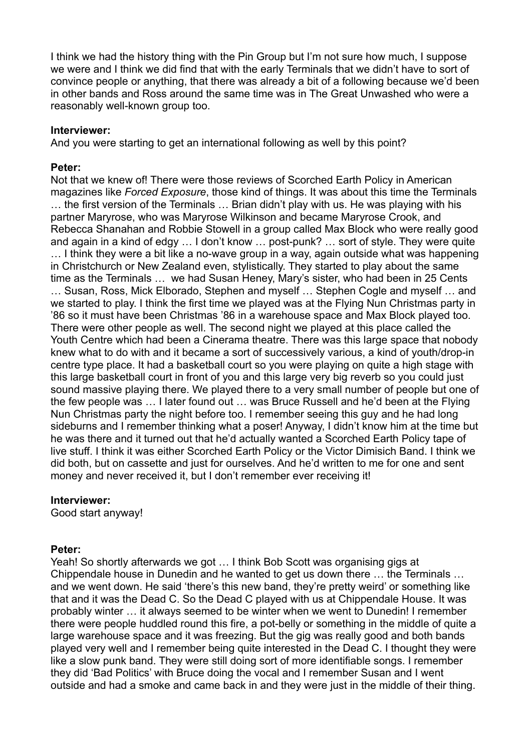I think we had the history thing with the Pin Group but I'm not sure how much, I suppose we were and I think we did find that with the early Terminals that we didn't have to sort of convince people or anything, that there was already a bit of a following because we'd been in other bands and Ross around the same time was in The Great Unwashed who were a reasonably well-known group too.

#### **Interviewer:**

And you were starting to get an international following as well by this point?

### **Peter:**

Not that we knew of! There were those reviews of Scorched Earth Policy in American magazines like *Forced Exposure*, those kind of things. It was about this time the Terminals … the first version of the Terminals … Brian didn't play with us. He was playing with his partner Maryrose, who was Maryrose Wilkinson and became Maryrose Crook, and Rebecca Shanahan and Robbie Stowell in a group called Max Block who were really good and again in a kind of edgy … I don't know … post-punk? … sort of style. They were quite … I think they were a bit like a no-wave group in a way, again outside what was happening in Christchurch or New Zealand even, stylistically. They started to play about the same time as the Terminals … we had Susan Heney, Mary's sister, who had been in 25 Cents … Susan, Ross, Mick Elborado, Stephen and myself … Stephen Cogle and myself … and we started to play. I think the first time we played was at the Flying Nun Christmas party in '86 so it must have been Christmas '86 in a warehouse space and Max Block played too. There were other people as well. The second night we played at this place called the Youth Centre which had been a Cinerama theatre. There was this large space that nobody knew what to do with and it became a sort of successively various, a kind of youth/drop-in centre type place. It had a basketball court so you were playing on quite a high stage with this large basketball court in front of you and this large very big reverb so you could just sound massive playing there. We played there to a very small number of people but one of the few people was … I later found out … was Bruce Russell and he'd been at the Flying Nun Christmas party the night before too. I remember seeing this guy and he had long sideburns and I remember thinking what a poser! Anyway, I didn't know him at the time but he was there and it turned out that he'd actually wanted a Scorched Earth Policy tape of live stuff. I think it was either Scorched Earth Policy or the Victor Dimisich Band. I think we did both, but on cassette and just for ourselves. And he'd written to me for one and sent money and never received it, but I don't remember ever receiving it!

#### **Interviewer:**

Good start anyway!

## **Peter:**

Yeah! So shortly afterwards we got … I think Bob Scott was organising gigs at Chippendale house in Dunedin and he wanted to get us down there … the Terminals … and we went down. He said 'there's this new band, they're pretty weird' or something like that and it was the Dead C. So the Dead C played with us at Chippendale House. It was probably winter … it always seemed to be winter when we went to Dunedin! I remember there were people huddled round this fire, a pot-belly or something in the middle of quite a large warehouse space and it was freezing. But the gig was really good and both bands played very well and I remember being quite interested in the Dead C. I thought they were like a slow punk band. They were still doing sort of more identifiable songs. I remember they did 'Bad Politics' with Bruce doing the vocal and I remember Susan and I went outside and had a smoke and came back in and they were just in the middle of their thing.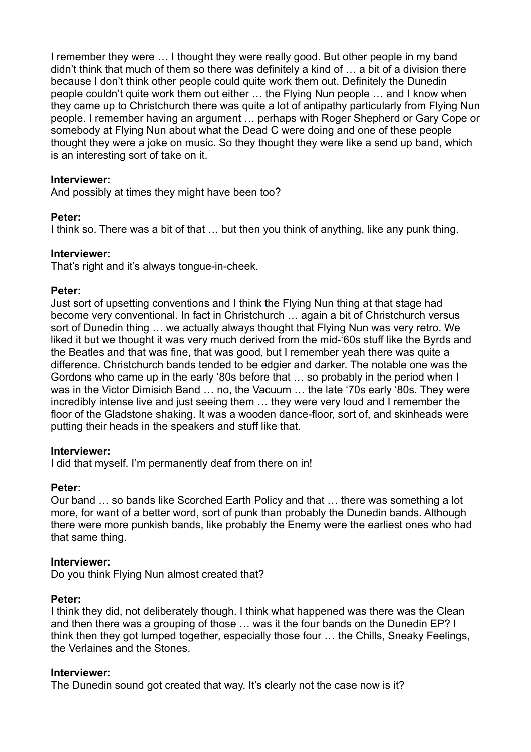I remember they were … I thought they were really good. But other people in my band didn't think that much of them so there was definitely a kind of … a bit of a division there because I don't think other people could quite work them out. Definitely the Dunedin people couldn't quite work them out either … the Flying Nun people … and I know when they came up to Christchurch there was quite a lot of antipathy particularly from Flying Nun people. I remember having an argument … perhaps with Roger Shepherd or Gary Cope or somebody at Flying Nun about what the Dead C were doing and one of these people thought they were a joke on music. So they thought they were like a send up band, which is an interesting sort of take on it.

## **Interviewer:**

And possibly at times they might have been too?

#### **Peter:**

I think so. There was a bit of that … but then you think of anything, like any punk thing.

#### **Interviewer:**

That's right and it's always tongue-in-cheek.

#### **Peter:**

Just sort of upsetting conventions and I think the Flying Nun thing at that stage had become very conventional. In fact in Christchurch … again a bit of Christchurch versus sort of Dunedin thing … we actually always thought that Flying Nun was very retro. We liked it but we thought it was very much derived from the mid-'60s stuff like the Byrds and the Beatles and that was fine, that was good, but I remember yeah there was quite a difference. Christchurch bands tended to be edgier and darker. The notable one was the Gordons who came up in the early '80s before that … so probably in the period when I was in the Victor Dimisich Band … no, the Vacuum … the late '70s early '80s. They were incredibly intense live and just seeing them … they were very loud and I remember the floor of the Gladstone shaking. It was a wooden dance-floor, sort of, and skinheads were putting their heads in the speakers and stuff like that.

#### **Interviewer:**

I did that myself. I'm permanently deaf from there on in!

#### **Peter:**

Our band … so bands like Scorched Earth Policy and that … there was something a lot more, for want of a better word, sort of punk than probably the Dunedin bands. Although there were more punkish bands, like probably the Enemy were the earliest ones who had that same thing.

#### **Interviewer:**

Do you think Flying Nun almost created that?

#### **Peter:**

I think they did, not deliberately though. I think what happened was there was the Clean and then there was a grouping of those … was it the four bands on the Dunedin EP? I think then they got lumped together, especially those four … the Chills, Sneaky Feelings, the Verlaines and the Stones.

## **Interviewer:**

The Dunedin sound got created that way. It's clearly not the case now is it?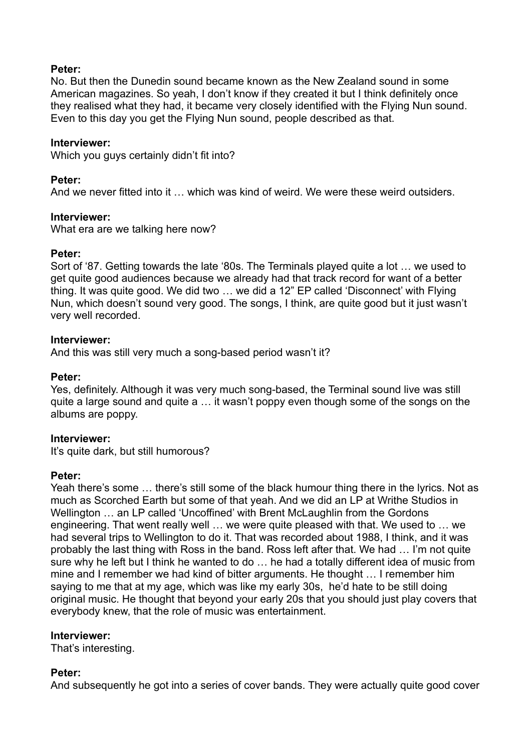## **Peter:**

No. But then the Dunedin sound became known as the New Zealand sound in some American magazines. So yeah, I don't know if they created it but I think definitely once they realised what they had, it became very closely identified with the Flying Nun sound. Even to this day you get the Flying Nun sound, people described as that.

#### **Interviewer:**

Which you guys certainly didn't fit into?

#### **Peter:**

And we never fitted into it … which was kind of weird. We were these weird outsiders.

#### **Interviewer:**

What era are we talking here now?

#### **Peter:**

Sort of '87. Getting towards the late '80s. The Terminals played quite a lot … we used to get quite good audiences because we already had that track record for want of a better thing. It was quite good. We did two … we did a 12" EP called 'Disconnect' with Flying Nun, which doesn't sound very good. The songs, I think, are quite good but it just wasn't very well recorded.

#### **Interviewer:**

And this was still very much a song-based period wasn't it?

#### **Peter:**

Yes, definitely. Although it was very much song-based, the Terminal sound live was still quite a large sound and quite a … it wasn't poppy even though some of the songs on the albums are poppy.

## **Interviewer:**

It's quite dark, but still humorous?

## **Peter:**

Yeah there's some … there's still some of the black humour thing there in the lyrics. Not as much as Scorched Earth but some of that yeah. And we did an LP at Writhe Studios in Wellington … an LP called 'Uncoffined' with Brent McLaughlin from the Gordons engineering. That went really well … we were quite pleased with that. We used to … we had several trips to Wellington to do it. That was recorded about 1988, I think, and it was probably the last thing with Ross in the band. Ross left after that. We had … I'm not quite sure why he left but I think he wanted to do … he had a totally different idea of music from mine and I remember we had kind of bitter arguments. He thought … I remember him saying to me that at my age, which was like my early 30s, he'd hate to be still doing original music. He thought that beyond your early 20s that you should just play covers that everybody knew, that the role of music was entertainment.

#### **Interviewer:**

That's interesting.

## **Peter:**

And subsequently he got into a series of cover bands. They were actually quite good cover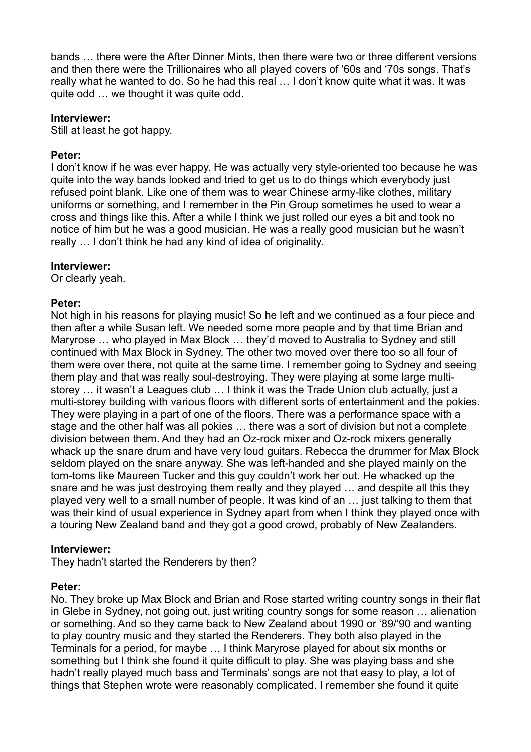bands … there were the After Dinner Mints, then there were two or three different versions and then there were the Trillionaires who all played covers of '60s and '70s songs. That's really what he wanted to do. So he had this real … I don't know quite what it was. It was quite odd … we thought it was quite odd.

### **Interviewer:**

Still at least he got happy.

## **Peter:**

I don't know if he was ever happy. He was actually very style-oriented too because he was quite into the way bands looked and tried to get us to do things which everybody just refused point blank. Like one of them was to wear Chinese army-like clothes, military uniforms or something, and I remember in the Pin Group sometimes he used to wear a cross and things like this. After a while I think we just rolled our eyes a bit and took no notice of him but he was a good musician. He was a really good musician but he wasn't really … I don't think he had any kind of idea of originality.

#### **Interviewer:**

Or clearly yeah.

#### **Peter:**

Not high in his reasons for playing music! So he left and we continued as a four piece and then after a while Susan left. We needed some more people and by that time Brian and Maryrose … who played in Max Block … they'd moved to Australia to Sydney and still continued with Max Block in Sydney. The other two moved over there too so all four of them were over there, not quite at the same time. I remember going to Sydney and seeing them play and that was really soul-destroying. They were playing at some large multistorey … it wasn't a Leagues club … I think it was the Trade Union club actually, just a multi-storey building with various floors with different sorts of entertainment and the pokies. They were playing in a part of one of the floors. There was a performance space with a stage and the other half was all pokies … there was a sort of division but not a complete division between them. And they had an Oz-rock mixer and Oz-rock mixers generally whack up the snare drum and have very loud guitars. Rebecca the drummer for Max Block seldom played on the snare anyway. She was left-handed and she played mainly on the tom-toms like Maureen Tucker and this guy couldn't work her out. He whacked up the snare and he was just destroying them really and they played … and despite all this they played very well to a small number of people. It was kind of an … just talking to them that was their kind of usual experience in Sydney apart from when I think they played once with a touring New Zealand band and they got a good crowd, probably of New Zealanders.

## **Interviewer:**

They hadn't started the Renderers by then?

## **Peter:**

No. They broke up Max Block and Brian and Rose started writing country songs in their flat in Glebe in Sydney, not going out, just writing country songs for some reason … alienation or something. And so they came back to New Zealand about 1990 or '89/'90 and wanting to play country music and they started the Renderers. They both also played in the Terminals for a period, for maybe … I think Maryrose played for about six months or something but I think she found it quite difficult to play. She was playing bass and she hadn't really played much bass and Terminals' songs are not that easy to play, a lot of things that Stephen wrote were reasonably complicated. I remember she found it quite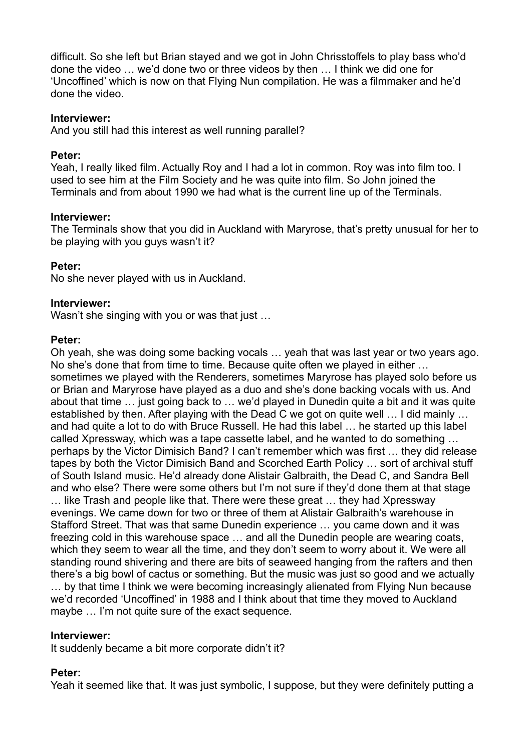difficult. So she left but Brian stayed and we got in John Chrisstoffels to play bass who'd done the video … we'd done two or three videos by then … I think we did one for 'Uncoffined' which is now on that Flying Nun compilation. He was a filmmaker and he'd done the video.

## **Interviewer:**

And you still had this interest as well running parallel?

## **Peter:**

Yeah, I really liked film. Actually Roy and I had a lot in common. Roy was into film too. I used to see him at the Film Society and he was quite into film. So John joined the Terminals and from about 1990 we had what is the current line up of the Terminals.

## **Interviewer:**

The Terminals show that you did in Auckland with Maryrose, that's pretty unusual for her to be playing with you guys wasn't it?

## **Peter:**

No she never played with us in Auckland.

## **Interviewer:**

Wasn't she singing with you or was that just ...

## **Peter:**

Oh yeah, she was doing some backing vocals … yeah that was last year or two years ago. No she's done that from time to time. Because quite often we played in either … sometimes we played with the Renderers, sometimes Maryrose has played solo before us or Brian and Maryrose have played as a duo and she's done backing vocals with us. And about that time … just going back to … we'd played in Dunedin quite a bit and it was quite established by then. After playing with the Dead C we got on quite well … I did mainly … and had quite a lot to do with Bruce Russell. He had this label … he started up this label called Xpressway, which was a tape cassette label, and he wanted to do something … perhaps by the Victor Dimisich Band? I can't remember which was first … they did release tapes by both the Victor Dimisich Band and Scorched Earth Policy … sort of archival stuff of South Island music. He'd already done Alistair Galbraith, the Dead C, and Sandra Bell and who else? There were some others but I'm not sure if they'd done them at that stage … like Trash and people like that. There were these great … they had Xpressway evenings. We came down for two or three of them at Alistair Galbraith's warehouse in Stafford Street. That was that same Dunedin experience … you came down and it was freezing cold in this warehouse space … and all the Dunedin people are wearing coats, which they seem to wear all the time, and they don't seem to worry about it. We were all standing round shivering and there are bits of seaweed hanging from the rafters and then there's a big bowl of cactus or something. But the music was just so good and we actually … by that time I think we were becoming increasingly alienated from Flying Nun because we'd recorded 'Uncoffined' in 1988 and I think about that time they moved to Auckland maybe ... I'm not quite sure of the exact sequence.

## **Interviewer:**

It suddenly became a bit more corporate didn't it?

## **Peter:**

Yeah it seemed like that. It was just symbolic, I suppose, but they were definitely putting a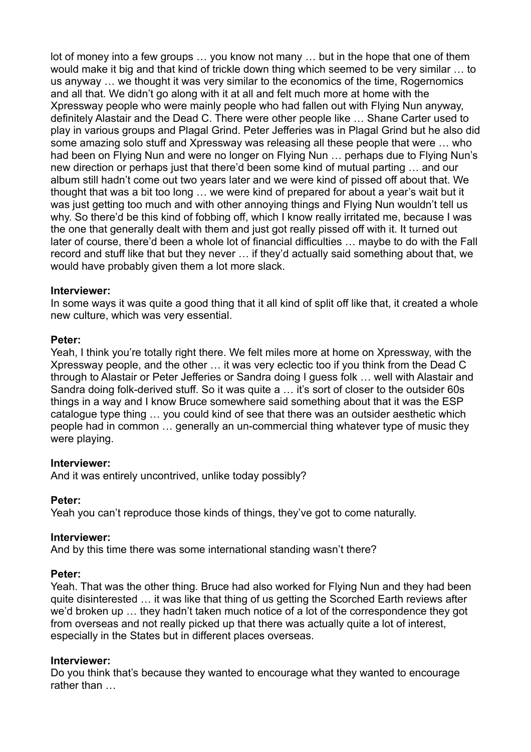lot of money into a few groups … you know not many … but in the hope that one of them would make it big and that kind of trickle down thing which seemed to be very similar … to us anyway … we thought it was very similar to the economics of the time, Rogernomics and all that. We didn't go along with it at all and felt much more at home with the Xpressway people who were mainly people who had fallen out with Flying Nun anyway, definitely Alastair and the Dead C. There were other people like … Shane Carter used to play in various groups and Plagal Grind. Peter Jefferies was in Plagal Grind but he also did some amazing solo stuff and Xpressway was releasing all these people that were … who had been on Flying Nun and were no longer on Flying Nun … perhaps due to Flying Nun's new direction or perhaps just that there'd been some kind of mutual parting … and our album still hadn't come out two years later and we were kind of pissed off about that. We thought that was a bit too long … we were kind of prepared for about a year's wait but it was just getting too much and with other annoying things and Flying Nun wouldn't tell us why. So there'd be this kind of fobbing off, which I know really irritated me, because I was the one that generally dealt with them and just got really pissed off with it. It turned out later of course, there'd been a whole lot of financial difficulties … maybe to do with the Fall record and stuff like that but they never … if they'd actually said something about that, we would have probably given them a lot more slack.

## **Interviewer:**

In some ways it was quite a good thing that it all kind of split off like that, it created a whole new culture, which was very essential.

#### **Peter:**

Yeah, I think you're totally right there. We felt miles more at home on Xpressway, with the Xpressway people, and the other … it was very eclectic too if you think from the Dead C through to Alastair or Peter Jefferies or Sandra doing I guess folk … well with Alastair and Sandra doing folk-derived stuff. So it was quite a … it's sort of closer to the outsider 60s things in a way and I know Bruce somewhere said something about that it was the ESP catalogue type thing … you could kind of see that there was an outsider aesthetic which people had in common … generally an un-commercial thing whatever type of music they were playing.

## **Interviewer:**

And it was entirely uncontrived, unlike today possibly?

## **Peter:**

Yeah you can't reproduce those kinds of things, they've got to come naturally.

#### **Interviewer:**

And by this time there was some international standing wasn't there?

## **Peter:**

Yeah. That was the other thing. Bruce had also worked for Flying Nun and they had been quite disinterested … it was like that thing of us getting the Scorched Earth reviews after we'd broken up … they hadn't taken much notice of a lot of the correspondence they got from overseas and not really picked up that there was actually quite a lot of interest, especially in the States but in different places overseas.

#### **Interviewer:**

Do you think that's because they wanted to encourage what they wanted to encourage rather than …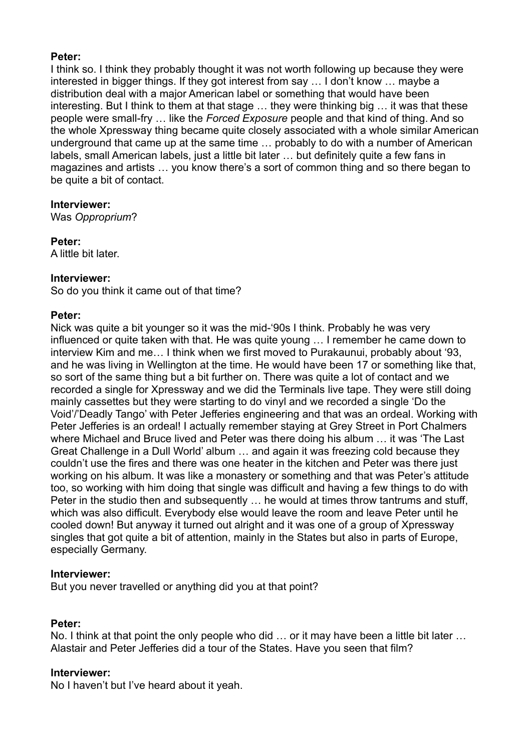## **Peter:**

I think so. I think they probably thought it was not worth following up because they were interested in bigger things. If they got interest from say … I don't know … maybe a distribution deal with a major American label or something that would have been interesting. But I think to them at that stage … they were thinking big … it was that these people were small-fry … like the *Forced Exposure* people and that kind of thing. And so the whole Xpressway thing became quite closely associated with a whole similar American underground that came up at the same time … probably to do with a number of American labels, small American labels, just a little bit later … but definitely quite a few fans in magazines and artists … you know there's a sort of common thing and so there began to be quite a bit of contact.

## **Interviewer:**

Was *Opproprium*?

**Peter:** A little bit later.

## **Interviewer:**

So do you think it came out of that time?

## **Peter:**

Nick was quite a bit younger so it was the mid-'90s I think. Probably he was very influenced or quite taken with that. He was quite young … I remember he came down to interview Kim and me… I think when we first moved to Purakaunui, probably about '93, and he was living in Wellington at the time. He would have been 17 or something like that, so sort of the same thing but a bit further on. There was quite a lot of contact and we recorded a single for Xpressway and we did the Terminals live tape. They were still doing mainly cassettes but they were starting to do vinyl and we recorded a single 'Do the Void'/'Deadly Tango' with Peter Jefferies engineering and that was an ordeal. Working with Peter Jefferies is an ordeal! I actually remember staying at Grey Street in Port Chalmers where Michael and Bruce lived and Peter was there doing his album … it was 'The Last Great Challenge in a Dull World' album … and again it was freezing cold because they couldn't use the fires and there was one heater in the kitchen and Peter was there just working on his album. It was like a monastery or something and that was Peter's attitude too, so working with him doing that single was difficult and having a few things to do with Peter in the studio then and subsequently … he would at times throw tantrums and stuff, which was also difficult. Everybody else would leave the room and leave Peter until he cooled down! But anyway it turned out alright and it was one of a group of Xpressway singles that got quite a bit of attention, mainly in the States but also in parts of Europe, especially Germany.

## **Interviewer:**

But you never travelled or anything did you at that point?

## **Peter:**

No. I think at that point the only people who did … or it may have been a little bit later … Alastair and Peter Jefferies did a tour of the States. Have you seen that film?

## **Interviewer:**

No I haven't but I've heard about it yeah.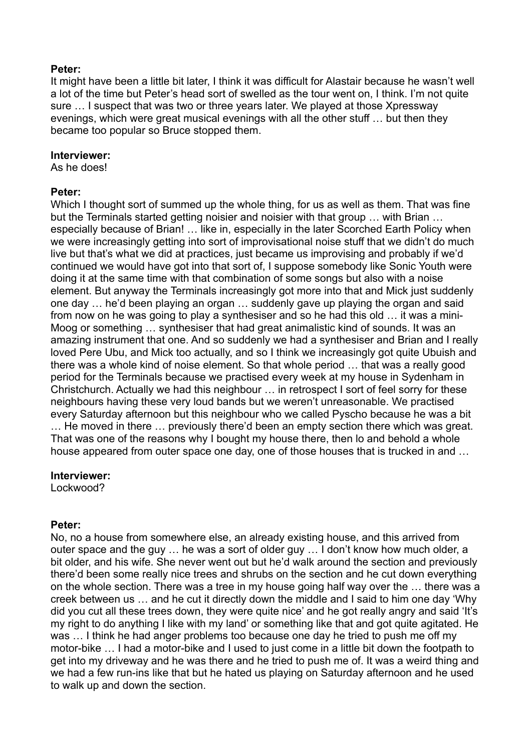### **Peter:**

It might have been a little bit later, I think it was difficult for Alastair because he wasn't well a lot of the time but Peter's head sort of swelled as the tour went on, I think. I'm not quite sure … I suspect that was two or three years later. We played at those Xpressway evenings, which were great musical evenings with all the other stuff … but then they became too popular so Bruce stopped them.

#### **Interviewer:**

As he does!

#### **Peter:**

Which I thought sort of summed up the whole thing, for us as well as them. That was fine but the Terminals started getting noisier and noisier with that group … with Brian … especially because of Brian! … like in, especially in the later Scorched Earth Policy when we were increasingly getting into sort of improvisational noise stuff that we didn't do much live but that's what we did at practices, just became us improvising and probably if we'd continued we would have got into that sort of, I suppose somebody like Sonic Youth were doing it at the same time with that combination of some songs but also with a noise element. But anyway the Terminals increasingly got more into that and Mick just suddenly one day … he'd been playing an organ … suddenly gave up playing the organ and said from now on he was going to play a synthesiser and so he had this old … it was a mini-Moog or something … synthesiser that had great animalistic kind of sounds. It was an amazing instrument that one. And so suddenly we had a synthesiser and Brian and I really loved Pere Ubu, and Mick too actually, and so I think we increasingly got quite Ubuish and there was a whole kind of noise element. So that whole period … that was a really good period for the Terminals because we practised every week at my house in Sydenham in Christchurch. Actually we had this neighbour … in retrospect I sort of feel sorry for these neighbours having these very loud bands but we weren't unreasonable. We practised every Saturday afternoon but this neighbour who we called Pyscho because he was a bit … He moved in there … previously there'd been an empty section there which was great. That was one of the reasons why I bought my house there, then lo and behold a whole house appeared from outer space one day, one of those houses that is trucked in and …

## **Interviewer:**

Lockwood?

## **Peter:**

No, no a house from somewhere else, an already existing house, and this arrived from outer space and the guy … he was a sort of older guy … I don't know how much older, a bit older, and his wife. She never went out but he'd walk around the section and previously there'd been some really nice trees and shrubs on the section and he cut down everything on the whole section. There was a tree in my house going half way over the … there was a creek between us … and he cut it directly down the middle and I said to him one day 'Why did you cut all these trees down, they were quite nice' and he got really angry and said 'It's my right to do anything I like with my land' or something like that and got quite agitated. He was ... I think he had anger problems too because one day he tried to push me off my motor-bike … I had a motor-bike and I used to just come in a little bit down the footpath to get into my driveway and he was there and he tried to push me of. It was a weird thing and we had a few run-ins like that but he hated us playing on Saturday afternoon and he used to walk up and down the section.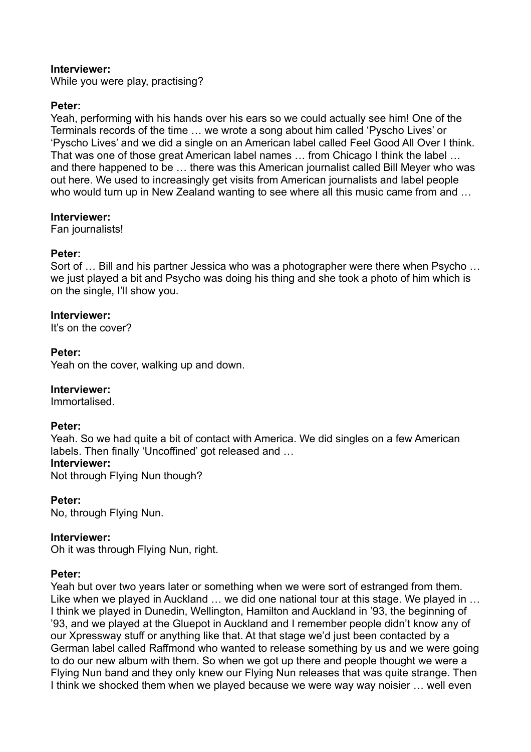## **Interviewer:**

While you were play, practising?

## **Peter:**

Yeah, performing with his hands over his ears so we could actually see him! One of the Terminals records of the time … we wrote a song about him called 'Pyscho Lives' or 'Pyscho Lives' and we did a single on an American label called Feel Good All Over I think. That was one of those great American label names … from Chicago I think the label … and there happened to be … there was this American journalist called Bill Meyer who was out here. We used to increasingly get visits from American journalists and label people who would turn up in New Zealand wanting to see where all this music came from and …

#### **Interviewer:**

Fan journalists!

## **Peter:**

Sort of … Bill and his partner Jessica who was a photographer were there when Psycho … we just played a bit and Psycho was doing his thing and she took a photo of him which is on the single, I'll show you.

## **Interviewer:**

It's on the cover?

## **Peter:**

Yeah on the cover, walking up and down.

## **Interviewer:**

Immortalised.

## **Peter:**

Yeah. So we had quite a bit of contact with America. We did singles on a few American labels. Then finally 'Uncoffined' got released and …

## **Interviewer:**

Not through Flying Nun though?

**Peter:**

No, through Flying Nun.

## **Interviewer:**

Oh it was through Flying Nun, right.

## **Peter:**

Yeah but over two years later or something when we were sort of estranged from them. Like when we played in Auckland … we did one national tour at this stage. We played in … I think we played in Dunedin, Wellington, Hamilton and Auckland in '93, the beginning of '93, and we played at the Gluepot in Auckland and I remember people didn't know any of our Xpressway stuff or anything like that. At that stage we'd just been contacted by a German label called Raffmond who wanted to release something by us and we were going to do our new album with them. So when we got up there and people thought we were a Flying Nun band and they only knew our Flying Nun releases that was quite strange. Then I think we shocked them when we played because we were way way noisier … well even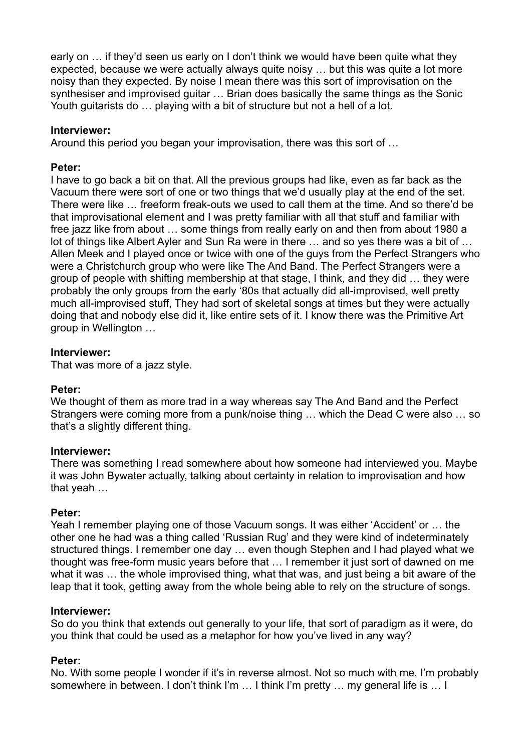early on … if they'd seen us early on I don't think we would have been quite what they expected, because we were actually always quite noisy … but this was quite a lot more noisy than they expected. By noise I mean there was this sort of improvisation on the synthesiser and improvised guitar … Brian does basically the same things as the Sonic Youth guitarists do … playing with a bit of structure but not a hell of a lot.

### **Interviewer:**

Around this period you began your improvisation, there was this sort of …

#### **Peter:**

I have to go back a bit on that. All the previous groups had like, even as far back as the Vacuum there were sort of one or two things that we'd usually play at the end of the set. There were like … freeform freak-outs we used to call them at the time. And so there'd be that improvisational element and I was pretty familiar with all that stuff and familiar with free jazz like from about … some things from really early on and then from about 1980 a lot of things like Albert Ayler and Sun Ra were in there … and so yes there was a bit of … Allen Meek and I played once or twice with one of the guys from the Perfect Strangers who were a Christchurch group who were like The And Band. The Perfect Strangers were a group of people with shifting membership at that stage, I think, and they did … they were probably the only groups from the early '80s that actually did all-improvised, well pretty much all-improvised stuff, They had sort of skeletal songs at times but they were actually doing that and nobody else did it, like entire sets of it. I know there was the Primitive Art group in Wellington …

#### **Interviewer:**

That was more of a jazz style.

## **Peter:**

We thought of them as more trad in a way whereas say The And Band and the Perfect Strangers were coming more from a punk/noise thing … which the Dead C were also … so that's a slightly different thing.

#### **Interviewer:**

There was something I read somewhere about how someone had interviewed you. Maybe it was John Bywater actually, talking about certainty in relation to improvisation and how that yeah …

#### **Peter:**

Yeah I remember playing one of those Vacuum songs. It was either 'Accident' or … the other one he had was a thing called 'Russian Rug' and they were kind of indeterminately structured things. I remember one day … even though Stephen and I had played what we thought was free-form music years before that … I remember it just sort of dawned on me what it was … the whole improvised thing, what that was, and just being a bit aware of the leap that it took, getting away from the whole being able to rely on the structure of songs.

#### **Interviewer:**

So do you think that extends out generally to your life, that sort of paradigm as it were, do you think that could be used as a metaphor for how you've lived in any way?

## **Peter:**

No. With some people I wonder if it's in reverse almost. Not so much with me. I'm probably somewhere in between. I don't think I'm … I think I'm pretty … my general life is … I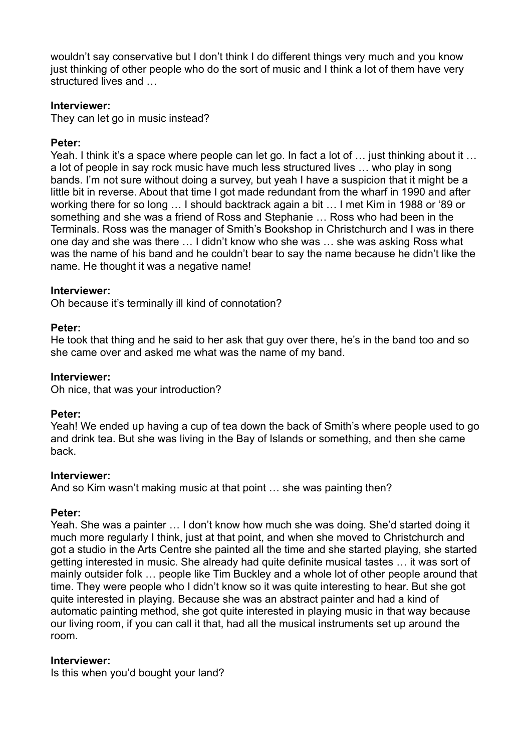wouldn't say conservative but I don't think I do different things very much and you know just thinking of other people who do the sort of music and I think a lot of them have very structured lives and …

## **Interviewer:**

They can let go in music instead?

### **Peter:**

Yeah. I think it's a space where people can let go. In fact a lot of ... just thinking about it ... a lot of people in say rock music have much less structured lives … who play in song bands. I'm not sure without doing a survey, but yeah I have a suspicion that it might be a little bit in reverse. About that time I got made redundant from the wharf in 1990 and after working there for so long … I should backtrack again a bit … I met Kim in 1988 or '89 or something and she was a friend of Ross and Stephanie … Ross who had been in the Terminals. Ross was the manager of Smith's Bookshop in Christchurch and I was in there one day and she was there … I didn't know who she was … she was asking Ross what was the name of his band and he couldn't bear to say the name because he didn't like the name. He thought it was a negative name!

#### **Interviewer:**

Oh because it's terminally ill kind of connotation?

#### **Peter:**

He took that thing and he said to her ask that guy over there, he's in the band too and so she came over and asked me what was the name of my band.

#### **Interviewer:**

Oh nice, that was your introduction?

#### **Peter:**

Yeah! We ended up having a cup of tea down the back of Smith's where people used to go and drink tea. But she was living in the Bay of Islands or something, and then she came back.

#### **Interviewer:**

And so Kim wasn't making music at that point … she was painting then?

## **Peter:**

Yeah. She was a painter … I don't know how much she was doing. She'd started doing it much more regularly I think, just at that point, and when she moved to Christchurch and got a studio in the Arts Centre she painted all the time and she started playing, she started getting interested in music. She already had quite definite musical tastes … it was sort of mainly outsider folk … people like Tim Buckley and a whole lot of other people around that time. They were people who I didn't know so it was quite interesting to hear. But she got quite interested in playing. Because she was an abstract painter and had a kind of automatic painting method, she got quite interested in playing music in that way because our living room, if you can call it that, had all the musical instruments set up around the room.

#### **Interviewer:**

Is this when you'd bought your land?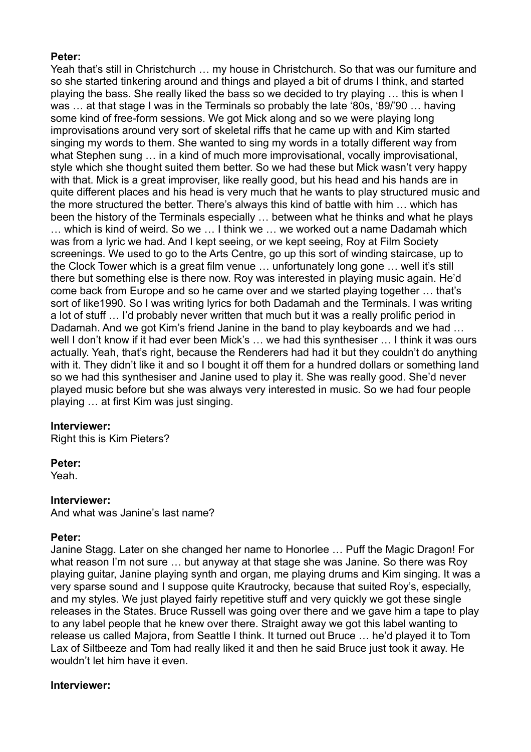## **Peter:**

Yeah that's still in Christchurch … my house in Christchurch. So that was our furniture and so she started tinkering around and things and played a bit of drums I think, and started playing the bass. She really liked the bass so we decided to try playing … this is when I was … at that stage I was in the Terminals so probably the late '80s, '89/'90 … having some kind of free-form sessions. We got Mick along and so we were playing long improvisations around very sort of skeletal riffs that he came up with and Kim started singing my words to them. She wanted to sing my words in a totally different way from what Stephen sung ... in a kind of much more improvisational, vocally improvisational, style which she thought suited them better. So we had these but Mick wasn't very happy with that. Mick is a great improviser, like really good, but his head and his hands are in quite different places and his head is very much that he wants to play structured music and the more structured the better. There's always this kind of battle with him … which has been the history of the Terminals especially … between what he thinks and what he plays … which is kind of weird. So we … I think we … we worked out a name Dadamah which was from a lyric we had. And I kept seeing, or we kept seeing, Roy at Film Society screenings. We used to go to the Arts Centre, go up this sort of winding staircase, up to the Clock Tower which is a great film venue … unfortunately long gone … well it's still there but something else is there now. Roy was interested in playing music again. He'd come back from Europe and so he came over and we started playing together … that's sort of like1990. So I was writing lyrics for both Dadamah and the Terminals. I was writing a lot of stuff … I'd probably never written that much but it was a really prolific period in Dadamah. And we got Kim's friend Janine in the band to play keyboards and we had ... well I don't know if it had ever been Mick's … we had this synthesiser … I think it was ours actually. Yeah, that's right, because the Renderers had had it but they couldn't do anything with it. They didn't like it and so I bought it off them for a hundred dollars or something land so we had this synthesiser and Janine used to play it. She was really good. She'd never played music before but she was always very interested in music. So we had four people playing … at first Kim was just singing.

## **Interviewer:**

Right this is Kim Pieters?

## **Peter:**

Yeah.

## **Interviewer:**

And what was Janine's last name?

## **Peter:**

Janine Stagg. Later on she changed her name to Honorlee … Puff the Magic Dragon! For what reason I'm not sure … but anyway at that stage she was Janine. So there was Roy playing guitar, Janine playing synth and organ, me playing drums and Kim singing. It was a very sparse sound and I suppose quite Krautrocky, because that suited Roy's, especially, and my styles. We just played fairly repetitive stuff and very quickly we got these single releases in the States. Bruce Russell was going over there and we gave him a tape to play to any label people that he knew over there. Straight away we got this label wanting to release us called Majora, from Seattle I think. It turned out Bruce … he'd played it to Tom Lax of Siltbeeze and Tom had really liked it and then he said Bruce just took it away. He wouldn't let him have it even.

## **Interviewer:**